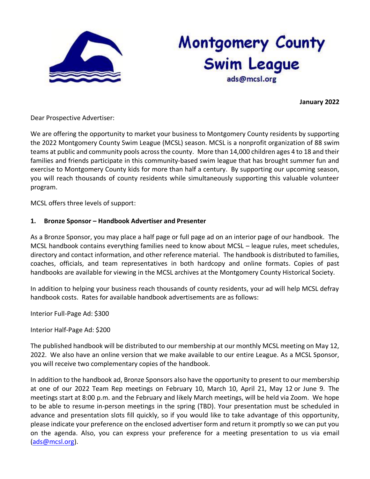

# **Montgomery County** Swim League ads@mcsl.org

**January 2022**

Dear Prospective Advertiser:

We are offering the opportunity to market your business to Montgomery County residents by supporting the 2022 Montgomery County Swim League (MCSL) season. MCSL is a nonprofit organization of 88 swim teams at public and community pools across the county. More than 14,000 children ages 4 to 18 and their families and friends participate in this community-based swim league that has brought summer fun and exercise to Montgomery County kids for more than half a century. By supporting our upcoming season, you will reach thousands of county residents while simultaneously supporting this valuable volunteer program.

MCSL offers three levels of support:

# **1. Bronze Sponsor – Handbook Advertiser and Presenter**

As a Bronze Sponsor, you may place a half page or full page ad on an interior page of our handbook. The MCSL handbook contains everything families need to know about MCSL – league rules, meet schedules, directory and contact information, and other reference material. The handbook is distributed to families, coaches, officials, and team representatives in both hardcopy and online formats. Copies of past handbooks are available for viewing in the MCSL archives at the Montgomery County Historical Society.

In addition to helping your business reach thousands of county residents, your ad will help MCSL defray handbook costs. Rates for available handbook advertisements are as follows:

Interior Full-Page Ad: \$300

Interior Half-Page Ad: \$200

The published handbook will be distributed to our membership at our monthly MCSL meeting on May 12, 2022. We also have an online version that we make available to our entire League. As a MCSL Sponsor, you will receive two complementary copies of the handbook.

In addition to the handbook ad, Bronze Sponsors also have the opportunity to present to our membership at one of our 2022 Team Rep meetings on February 10, March 10, April 21, May 12 or June 9. The meetings start at 8:00 p.m. and the February and likely March meetings, will be held via Zoom. We hope to be able to resume in-person meetings in the spring (TBD). Your presentation must be scheduled in advance and presentation slots fill quickly, so if you would like to take advantage of this opportunity, please indicate your preference on the enclosed advertiser form and return it promptly so we can put you on the agenda. Also, you can express your preference for a meeting presentation to us via email [\(ads@mcsl.org\)](mailto:ads@mcsl.org).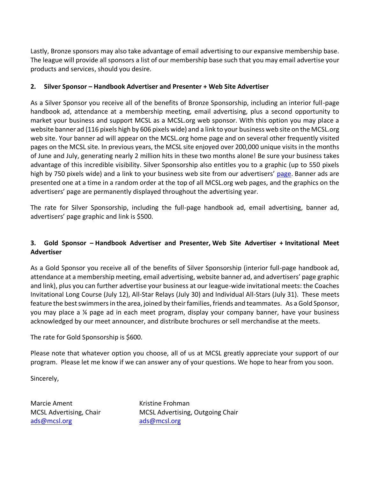Lastly, Bronze sponsors may also take advantage of email advertising to our expansive membership base. The league will provide all sponsors a list of our membership base such that you may email advertise your products and services, should you desire.

## **2. Silver Sponsor – Handbook Advertiser and Presenter + Web Site Advertiser**

As a Silver Sponsor you receive all of the benefits of Bronze Sponsorship, including an interior full-page handbook ad, attendance at a membership meeting, email advertising, plus a second opportunity to market your business and support MCSL as a MCSL.org web sponsor. With this option you may place a website banner ad (116 pixels high by 606 pixels wide) and a link to your business web site on the MCSL.org web site. Your banner ad will appear on the MCSL.org home page and on several other frequently visited pages on the MCSL site. In previous years, the MCSL site enjoyed over 200,000 unique visits in the months of June and July, generating nearly 2 million hits in these two months alone! Be sure your business takes advantage of this incredible visibility. Silver Sponsorship also entitles you to a graphic (up to 550 pixels high by 750 pixels wide) and a link to your business web site from our advertisers' [page.](http://mcsl.org/Sponsors.aspx) Banner ads are presented one at a time in a random order at the top of all MCSL.org web pages, and the graphics on the advertisers' page are permanently displayed throughout the advertising year.

The rate for Silver Sponsorship, including the full-page handbook ad, email advertising, banner ad, advertisers' page graphic and link is \$500.

# **3. Gold Sponsor – Handbook Advertiser and Presenter, Web Site Advertiser + Invitational Meet Advertiser**

As a Gold Sponsor you receive all of the benefits of Silver Sponsorship (interior full-page handbook ad, attendance at a membership meeting, email advertising, website banner ad, and advertisers' page graphic and link), plus you can further advertise your business at our league-wide invitational meets: the Coaches Invitational Long Course (July 12), All-Star Relays (July 30) and Individual All-Stars (July 31). These meets feature the best swimmers in the area, joined by their families, friends and teammates. As a Gold Sponsor, you may place a ¼ page ad in each meet program, display your company banner, have your business acknowledged by our meet announcer, and distribute brochures or sell merchandise at the meets.

The rate for Gold Sponsorship is \$600.

Please note that whatever option you choose, all of us at MCSL greatly appreciate your support of our program. Please let me know if we can answer any of your questions. We hope to hear from you soon.

Sincerely,

Marcie Ament **Kristine Frohman** [ads@mcsl.org](mailto:ads@mcsl.org) ads@mcsl.org

MCSL Advertising, Chair MCSL Advertising, Outgoing Chair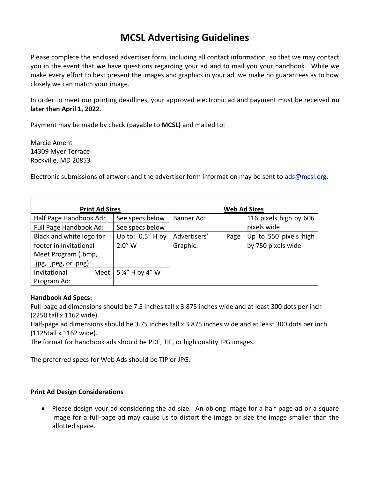# **MCSL Advertising Guidelines**

Please complete the enclosed advertiser form, including all contact information, so that we may contact you in the event that we have questions regarding your ad and to mail you your handbook. While we make every effort to best present the images and graphics in your ad, we make no guarantees as to how closely we can match your image.

In order to meet our printing deadlines, your approved electronic ad and payment must be received **no later than April 1, 2022**.

Payment may be made by check (payable to **MCSL)** and mailed to:

Marcie Ament 14309 Myer Terrace Rockville, MD 20853

Electronic submissions of artwork and the advertiser form information may be sent to [ads@mcsl.org.](mailto:ads@mcsl.org)

| <b>Print Ad Sizes</b>     |                                    | <b>Web Ad Sizes</b>  |                        |  |  |
|---------------------------|------------------------------------|----------------------|------------------------|--|--|
| Half Page Handbook Ad:    | See specs below                    | Banner Ad:           | 116 pixels high by 606 |  |  |
| Full Page Handbook Ad:    | See specs below                    |                      | pixels wide            |  |  |
| Black and white logo for  | Up to: $0.5''$ H by                | Advertisers'<br>Page | Up to 550 pixels high  |  |  |
| footer in Invitational    | $2.0''$ W                          | Graphic:             | by 750 pixels wide     |  |  |
| Meet Program (.bmp,       |                                    |                      |                        |  |  |
| .jpg, .jpeg, $or .png$ ): |                                    |                      |                        |  |  |
| Invitational              | Meet   5 $\frac{1}{4}$ " H by 4" W |                      |                        |  |  |
| Program Ad:               |                                    |                      |                        |  |  |

### **Handbook Ad Specs:**

Full-page ad dimensions should be 7.5 inches tall x 3.875 inches wide and at least 300 dots per inch (2250 tall x 1162 wide).

Half-page ad dimensions should be 3.75 inches tall x 3.875 inches wide and at least 300 dots per inch (1125tall x 1162 wide).

The format for handbook ads should be PDF, TIF, or high quality JPG images.

The preferred specs for Web Ads should be TIP or JPG.

### **Print Ad Design Considerations**

• Please design your ad considering the ad size. An oblong image for a half page ad or a square image for a full-page ad may cause us to distort the image or size the image smaller than the allotted space.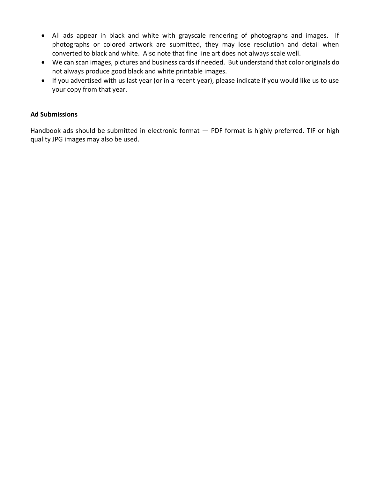- All ads appear in black and white with grayscale rendering of photographs and images. If photographs or colored artwork are submitted, they may lose resolution and detail when converted to black and white. Also note that fine line art does not always scale well.
- We can scan images, pictures and business cards if needed. But understand that color originals do not always produce good black and white printable images.
- If you advertised with us last year (or in a recent year), please indicate if you would like us to use your copy from that year.

#### **Ad Submissions**

Handbook ads should be submitted in electronic format  $-$  PDF format is highly preferred. TIF or high quality JPG images may also be used.